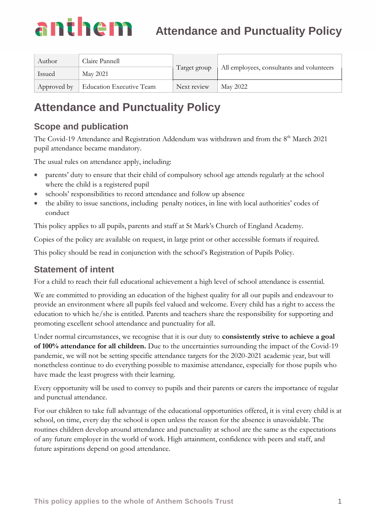### **Attendance and Punctuality Policy**

| Author      | Claire Pannell                  | Target group | All employees, consultants and volunteers |
|-------------|---------------------------------|--------------|-------------------------------------------|
| Issued      | May 2021                        |              |                                           |
| Approved by | <b>Education Executive Team</b> | Next review  | May 2022                                  |

### **Attendance and Punctuality Policy**

#### **Scope and publication**

anthem

The Covid-19 Attendance and Registration Addendum was withdrawn and from the 8<sup>th</sup> March 2021 pupil attendance became mandatory.

The usual rules on attendance apply, including:

- parents' duty to ensure that their child of compulsory school age attends regularly at the school where the child is a registered pupil
- schools' responsibilities to record attendance and follow up absence
- the ability to issue sanctions, including penalty notices, in line with local authorities' codes of conduct

This policy applies to all pupils, parents and staff at St Mark's Church of England Academy.

Copies of the policy are available on request, in large print or other accessible formats if required.

This policy should be read in conjunction with the school's Registration of Pupils Policy.

#### **Statement of intent**

For a child to reach their full educational achievement a high level of school attendance is essential.

We are committed to providing an education of the highest quality for all our pupils and endeavour to provide an environment where all pupils feel valued and welcome. Every child has a right to access the education to which he/she is entitled. Parents and teachers share the responsibility for supporting and promoting excellent school attendance and punctuality for all.

Under normal circumstances, we recognise that it is our duty to **consistently strive to achieve a goal of 100% attendance for all children.** Due to the uncertainties surrounding the impact of the Covid-19 pandemic, we will not be setting specific attendance targets for the 2020-2021 academic year, but will nonetheless continue to do everything possible to maximise attendance, especially for those pupils who have made the least progress with their learning.

Every opportunity will be used to convey to pupils and their parents or carers the importance of regular and punctual attendance.

For our children to take full advantage of the educational opportunities offered, it is vital every child is at school, on time, every day the school is open unless the reason for the absence is unavoidable. The routines children develop around attendance and punctuality at school are the same as the expectations of any future employer in the world of work. High attainment, confidence with peers and staff, and future aspirations depend on good attendance.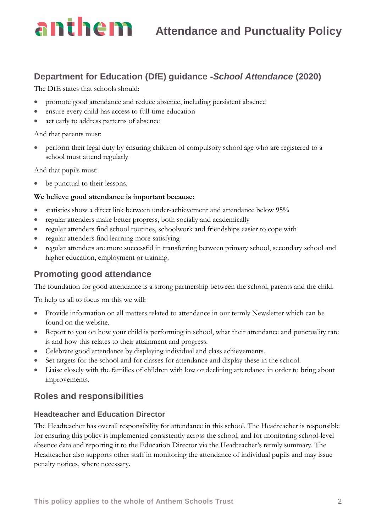# **Antine In** Attendance and Punctuality Policy

#### **Department for Education (DfE) guidance -***School Attendance* **(2020)**

The DfE states that schools should:

- promote good attendance and reduce absence, including persistent absence
- ensure every child has access to full-time education
- act early to address patterns of absence

And that parents must:

• perform their legal duty by ensuring children of compulsory school age who are registered to a school must attend regularly

And that pupils must:

• be punctual to their lessons.

#### **We believe good attendance is important because:**

- statistics show a direct link between under-achievement and attendance below 95%
- regular attenders make better progress, both socially and academically
- regular attenders find school routines, schoolwork and friendships easier to cope with
- regular attenders find learning more satisfying
- regular attenders are more successful in transferring between primary school, secondary school and higher education, employment or training.

#### **Promoting good attendance**

The foundation for good attendance is a strong partnership between the school, parents and the child.

To help us all to focus on this we will:

- Provide information on all matters related to attendance in our termly Newsletter which can be found on the website.
- Report to you on how your child is performing in school, what their attendance and punctuality rate is and how this relates to their attainment and progress.
- Celebrate good attendance by displaying individual and class achievements.
- Set targets for the school and for classes for attendance and display these in the school.
- Liaise closely with the families of children with low or declining attendance in order to bring about improvements.

#### **Roles and responsibilities**

#### **Headteacher and Education Director**

The Headteacher has overall responsibility for attendance in this school. The Headteacher is responsible for ensuring this policy is implemented consistently across the school, and for monitoring school-level absence data and reporting it to the Education Director via the Headteacher's termly summary. The Headteacher also supports other staff in monitoring the attendance of individual pupils and may issue penalty notices, where necessary.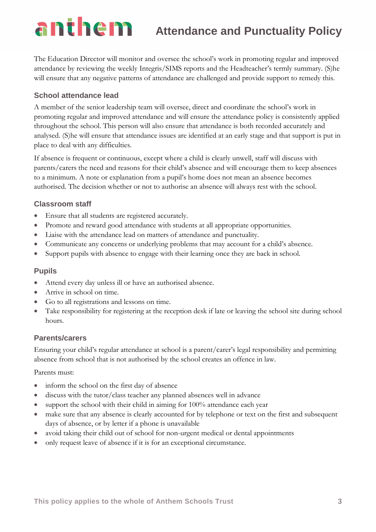### anthem **Attendance and Punctuality Policy**

The Education Director will monitor and oversee the school's work in promoting regular and improved attendance by reviewing the weekly Integris/SIMS reports and the Headteacher's termly summary. (S)he will ensure that any negative patterns of attendance are challenged and provide support to remedy this.

#### **School attendance lead**

A member of the senior leadership team will oversee, direct and coordinate the school's work in promoting regular and improved attendance and will ensure the attendance policy is consistently applied throughout the school. This person will also ensure that attendance is both recorded accurately and analysed. (S)he will ensure that attendance issues are identified at an early stage and that support is put in place to deal with any difficulties.

If absence is frequent or continuous, except where a child is clearly unwell, staff will discuss with parents/carers the need and reasons for their child's absence and will encourage them to keep absences to a minimum. A note or explanation from a pupil's home does not mean an absence becomes authorised. The decision whether or not to authorise an absence will always rest with the school.

#### **Classroom staff**

- Ensure that all students are registered accurately.
- Promote and reward good attendance with students at all appropriate opportunities.
- Liaise with the attendance lead on matters of attendance and punctuality.
- Communicate any concerns or underlying problems that may account for a child's absence.
- Support pupils with absence to engage with their learning once they are back in school.

#### **Pupils**

- Attend every day unless ill or have an authorised absence.
- Arrive in school on time.
- Go to all registrations and lessons on time.
- Take responsibility for registering at the reception desk if late or leaving the school site during school hours.

#### **Parents/carers**

Ensuring your child's regular attendance at school is a parent/carer's legal responsibility and permitting absence from school that is not authorised by the school creates an offence in law.

Parents must:

- inform the school on the first day of absence
- discuss with the tutor/class teacher any planned absences well in advance
- support the school with their child in aiming for 100% attendance each year
- make sure that any absence is clearly accounted for by telephone or text on the first and subsequent days of absence, or by letter if a phone is unavailable
- avoid taking their child out of school for non-urgent medical or dental appointments
- only request leave of absence if it is for an exceptional circumstance.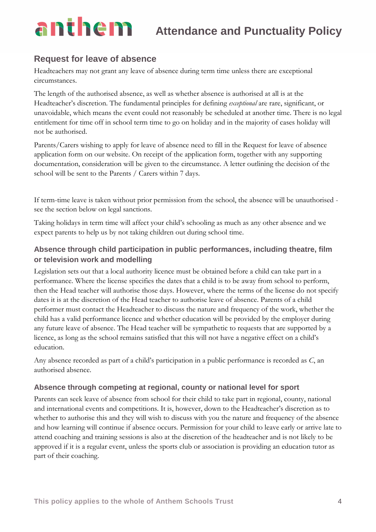# **Antinem Attendance and Punctuality Policy**

#### **Request for leave of absence**

Headteachers may not grant any leave of absence during term time unless there are exceptional circumstances.

The length of the authorised absence, as well as whether absence is authorised at all is at the Headteacher's discretion. The fundamental principles for defining *exceptional* are rare, significant, or unavoidable, which means the event could not reasonably be scheduled at another time. There is no legal entitlement for time off in school term time to go on holiday and in the majority of cases holiday will not be authorised.

Parents/Carers wishing to apply for leave of absence need to fill in the Request for leave of absence application form on our website. On receipt of the application form, together with any supporting documentation, consideration will be given to the circumstance. A letter outlining the decision of the school will be sent to the Parents / Carers within 7 days.

If term-time leave is taken without prior permission from the school, the absence will be unauthorised see the section below on legal sanctions.

Taking holidays in term time will affect your child's schooling as much as any other absence and we expect parents to help us by not taking children out during school time.

#### **Absence through child participation in public performances, including theatre, film or television work and modelling**

Legislation sets out that a local authority licence must be obtained before a child can take part in a performance. Where the license specifies the dates that a child is to be away from school to perform, then the Head teacher will authorise those days. However, where the terms of the license do not specify dates it is at the discretion of the Head teacher to authorise leave of absence. Parents of a child performer must contact the Headteacher to discuss the nature and frequency of the work, whether the child has a valid performance licence and whether education will be provided by the employer during any future leave of absence. The Head teacher will be sympathetic to requests that are supported by a licence, as long as the school remains satisfied that this will not have a negative effect on a child's education.

Any absence recorded as part of a child's participation in a public performance is recorded as *C*, an authorised absence.

#### **Absence through competing at regional, county or national level for sport**

Parents can seek leave of absence from school for their child to take part in regional, county, national and international events and competitions. It is, however, down to the Headteacher's discretion as to whether to authorise this and they will wish to discuss with you the nature and frequency of the absence and how learning will continue if absence occurs. Permission for your child to leave early or arrive late to attend coaching and training sessions is also at the discretion of the headteacher and is not likely to be approved if it is a regular event, unless the sports club or association is providing an education tutor as part of their coaching.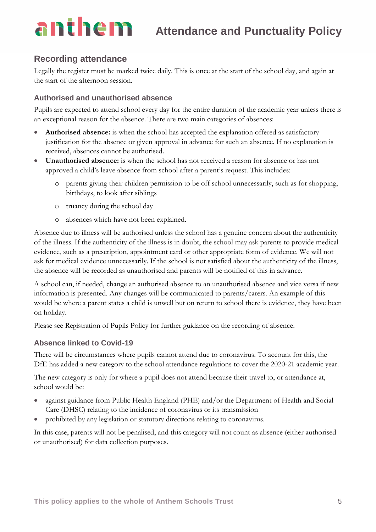# **Antine In** Attendance and Punctuality Policy

#### **Recording attendance**

Legally the register must be marked twice daily. This is once at the start of the school day, and again at the start of the afternoon session.

#### **Authorised and unauthorised absence**

Pupils are expected to attend school every day for the entire duration of the academic year unless there is an exceptional reason for the absence. There are two main categories of absences:

- **Authorised absence:** is when the school has accepted the explanation offered as satisfactory justification for the absence or given approval in advance for such an absence. If no explanation is received, absences cannot be authorised.
- **Unauthorised absence:** is when the school has not received a reason for absence or has not approved a child's leave absence from school after a parent's request. This includes:
	- o parents giving their children permission to be off school unnecessarily, such as for shopping, birthdays, to look after siblings
	- o truancy during the school day
	- o absences which have not been explained.

Absence due to illness will be authorised unless the school has a genuine concern about the authenticity of the illness. If the authenticity of the illness is in doubt, the school may ask parents to provide medical evidence, such as a prescription, appointment card or other appropriate form of evidence. We will not ask for medical evidence unnecessarily. If the school is not satisfied about the authenticity of the illness, the absence will be recorded as unauthorised and parents will be notified of this in advance.

A school can, if needed, change an authorised absence to an unauthorised absence and vice versa if new information is presented. Any changes will be communicated to parents/carers. An example of this would be where a parent states a child is unwell but on return to school there is evidence, they have been on holiday.

Please see Registration of Pupils Policy for further guidance on the recording of absence.

#### **Absence linked to Covid-19**

There will be circumstances where pupils cannot attend due to coronavirus. To account for this, the DfE has added a new category to the [school attendance regulations](https://www.legislation.gov.uk/uksi/2020/816/contents/made) to cover the 2020-21 academic year.

The new category is only for where a pupil does not attend because their travel to, or attendance at, school would be:

- against guidance from Public Health England (PHE) and/or the Department of Health and Social Care (DHSC) relating to the incidence of coronavirus or its transmission
- prohibited by any legislation or statutory directions relating to coronavirus.

In this case, parents will not be penalised, and this category will not count as absence (either authorised or unauthorised) for data collection purposes.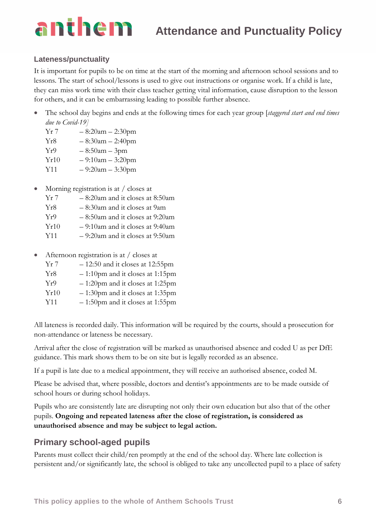# anthem

### **Attendance and Punctuality Policy**

#### **Lateness/punctuality**

It is important for pupils to be on time at the start of the morning and afternoon school sessions and to lessons. The start of school/lessons is used to give out instructions or organise work. If a child is late, they can miss work time with their class teacher getting vital information, cause disruption to the lesson for others, and it can be embarrassing leading to possible further absence.

- The school day begins and ends at the following times for each year group [*staggered start and end times due to Covid-19]*
	- Yr 7 8:20am 2:30pm Yr8 – 8:30am – 2:40pm  $Yr9 - 8:50am - 3pm$  $Yr10 - 9:10am - 3:20pm$
	- Y11  $9:20$ am  $3:30$ pm
- Morning registration is at / closes at
	- $Yr$  7 8:20am and it closes at 8:50am
	- Yr8 8:30am and it closes at 9am
	- Yr9 8:50am and it closes at 9:20am
	- $Yr10 9:10$ am and it closes at 9:40am
	- Y11  $-9:20$ am and it closes at 9:50am
- Afternoon registration is at / closes at
	- Yr 7 12:50 and it closes at 12:55pm Yr8 – 1:10pm and it closes at 1:15pm Yr9 – 1:20pm and it closes at 1:25pm Yr10 – 1:30pm and it closes at 1:35pm Y11  $-1:50$ pm and it closes at 1:55pm

All lateness is recorded daily. This information will be required by the courts, should a prosecution for non-attendance or lateness be necessary.

Arrival after the close of registration will be marked as unauthorised absence and coded U as per DfE guidance. This mark shows them to be on site but is legally recorded as an absence.

If a pupil is late due to a medical appointment, they will receive an authorised absence, coded M.

Please be advised that, where possible, doctors and dentist's appointments are to be made outside of school hours or during school holidays.

Pupils who are consistently late are disrupting not only their own education but also that of the other pupils. **Ongoing and repeated lateness after the close of registration, is considered as unauthorised absence and may be subject to legal action.**

#### **Primary school-aged pupils**

Parents must collect their child/ren promptly at the end of the school day. Where late collection is persistent and/or significantly late, the school is obliged to take any uncollected pupil to a place of safety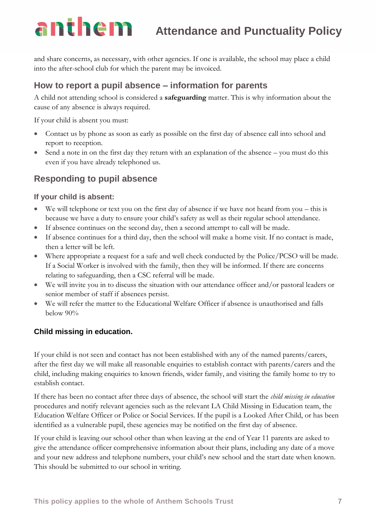### anthem **Attendance and Punctuality Policy**

and share concerns, as necessary, with other agencies. If one is available, the school may place a child into the after-school club for which the parent may be invoiced.

#### **How to report a pupil absence – information for parents**

A child not attending school is considered a **safeguarding** matter. This is why information about the cause of any absence is always required.

If your child is absent you must:

- Contact us by phone as soon as early as possible on the first day of absence call into school and report to reception.
- Send a note in on the first day they return with an explanation of the absence you must do this even if you have already telephoned us.

#### **Responding to pupil absence**

#### **If your child is absent:**

- We will telephone or text you on the first day of absence if we have not heard from you this is because we have a duty to ensure your child's safety as well as their regular school attendance.
- If absence continues on the second day, then a second attempt to call will be made.
- If absence continues for a third day, then the school will make a home visit. If no contact is made, then a letter will be left.
- Where appropriate a request for a safe and well check conducted by the Police/PCSO will be made. If a Social Worker is involved with the family, then they will be informed. If there are concerns relating to safeguarding, then a CSC referral will be made.
- We will invite you in to discuss the situation with our attendance officer and/or pastoral leaders or senior member of staff if absences persist.
- We will refer the matter to the Educational Welfare Officer if absence is unauthorised and falls below 90%

#### **Child missing in education.**

If your child is not seen and contact has not been established with any of the named parents/carers, after the first day we will make all reasonable enquiries to establish contact with parents/carers and the child, including making enquiries to known friends, wider family, and visiting the family home to try to establish contact.

If there has been no contact after three days of absence, the school will start the *child missing in education*  procedures and notify relevant agencies such as the relevant LA Child Missing in Education team, the Education Welfare Officer or Police or Social Services. If the pupil is a Looked After Child, or has been identified as a vulnerable pupil, these agencies may be notified on the first day of absence.

If your child is leaving our school other than when leaving at the end of Year 11 parents are asked to give the attendance officer comprehensive information about their plans, including any date of a move and your new address and telephone numbers, your child's new school and the start date when known. This should be submitted to our school in writing.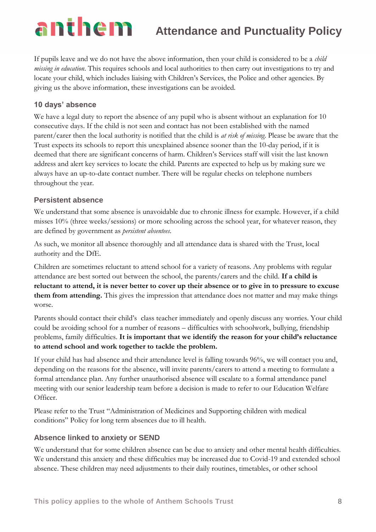#### anthem **Attendance and Punctuality Policy**

If pupils leave and we do not have the above information, then your child is considered to be a *child missing in education*. This requires schools and local authorities to then carry out investigations to try and locate your child, which includes liaising with Children's Services, the Police and other agencies. By giving us the above information, these investigations can be avoided.

#### **10 days' absence**

We have a legal duty to report the absence of any pupil who is absent without an explanation for 10 consecutive days. If the child is not seen and contact has not been established with the named parent/carer then the local authority is notified that the child is *at risk of missing*. Please be aware that the Trust expects its schools to report this unexplained absence sooner than the 10-day period, if it is deemed that there are significant concerns of harm. Children's Services staff will visit the last known address and alert key services to locate the child. Parents are expected to help us by making sure we always have an up-to-date contact number. There will be regular checks on telephone numbers throughout the year.

#### **Persistent absence**

We understand that some absence is unavoidable due to chronic illness for example. However, if a child misses 10% (three weeks/sessions) or more schooling across the school year, for whatever reason, they are defined by government as *persistent absentees*.

As such, we monitor all absence thoroughly and all attendance data is shared with the Trust, local authority and the DfE.

Children are sometimes reluctant to attend school for a variety of reasons. Any problems with regular attendance are best sorted out between the school, the parents/carers and the child. **If a child is reluctant to attend, it is never better to cover up their absence or to give in to pressure to excuse them from attending.** This gives the impression that attendance does not matter and may make things worse.

Parents should contact their child's class teacher immediately and openly discuss any worries. Your child could be avoiding school for a number of reasons – difficulties with schoolwork, bullying, friendship problems, family difficulties. **It is important that we identify the reason for your child's reluctance to attend school and work together to tackle the problem.** 

If your child has had absence and their attendance level is falling towards 96%, we will contact you and, depending on the reasons for the absence, will invite parents/carers to attend a meeting to formulate a formal attendance plan. Any further unauthorised absence will escalate to a formal attendance panel meeting with our senior leadership team before a decision is made to refer to our Education Welfare Officer.

Please refer to the Trust "Administration of Medicines and Supporting children with medical conditions" Policy for long term absences due to ill health.

#### **Absence linked to anxiety or SEND**

We understand that for some children absence can be due to anxiety and other mental health difficulties. We understand this anxiety and these difficulties may be increased due to Covid-19 and extended school absence. These children may need adjustments to their daily routines, timetables, or other school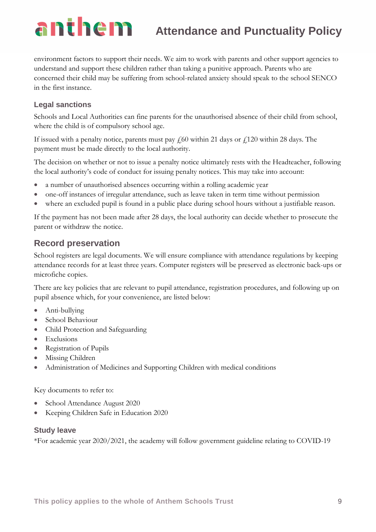## **Attendance and Punctuality Policy**

environment factors to support their needs. We aim to work with parents and other support agencies to understand and support these children rather than taking a punitive approach. Parents who are concerned their child may be suffering from school-related anxiety should speak to the school SENCO in the first instance.

#### **Legal sanctions**

anthem

Schools and Local Authorities can fine parents for the unauthorised absence of their child from school, where the child is of compulsory school age.

If issued with a penalty notice, parents must pay  $\frac{1}{60}$  within 21 days or  $\frac{1}{6}$ 120 within 28 days. The payment must be made directly to the local authority.

The decision on whether or not to issue a penalty notice ultimately rests with the Headteacher, following the local authority's code of conduct for issuing penalty notices. This may take into account:

- a number of unauthorised absences occurring within a rolling academic year
- one-off instances of irregular attendance, such as leave taken in term time without permission
- where an excluded pupil is found in a public place during school hours without a justifiable reason.

If the payment has not been made after 28 days, the local authority can decide whether to prosecute the parent or withdraw the notice.

#### **Record preservation**

School registers are legal documents. We will ensure compliance with attendance regulations by keeping attendance records for at least three years. Computer registers will be preserved as electronic back-ups or microfiche copies.

There are key policies that are relevant to pupil attendance, registration procedures, and following up on pupil absence which, for your convenience, are listed below:

- Anti-bullying
- School Behaviour
- Child Protection and Safeguarding
- **Exclusions**
- Registration of Pupils
- Missing Children
- Administration of Medicines and Supporting Children with medical conditions

Key documents to refer to:

- School Attendance August 2020
- Keeping Children Safe in Education 2020

#### **Study leave**

\*For academic year 2020/2021, the academy will follow government guideline relating to COVID-19